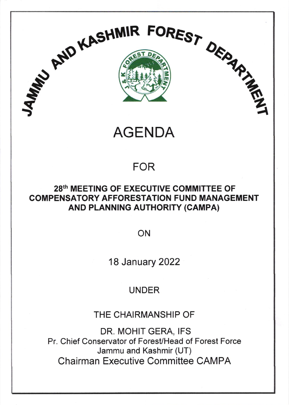

IR FOREST

# AGENDA

s"s

# FOR

### 28th MEETING OF EXECUTIVE COMMITTEE OF COMPENSATORY AFFORESTATION FUND MANAGEMENT AND PLANNING AUTHORITY (CAMPA)

ON

18 January 2022

## UNDER

THE CHAIRMANSHIP OF

DR. MOHIT GERA, IFS Pr. Chief Conservator of Forest/Head of Forest Force Jammu and Kashmir (UT) Chairman Executive Committee CAMPA